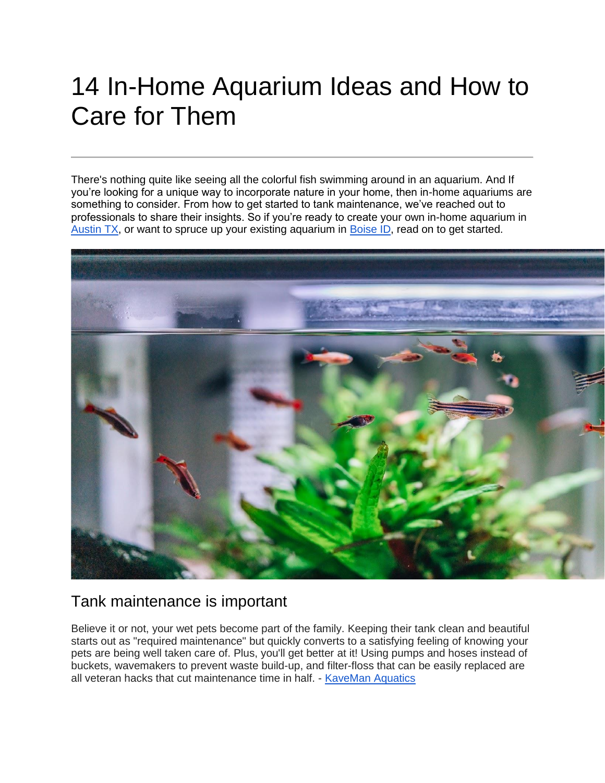# 14 In-Home Aquarium Ideas and How to Care for Them

There's nothing quite like seeing all the colorful fish swimming around in an aquarium. And If you're looking for a unique way to incorporate nature in your home, then in-home aquariums are something to consider. From how to get started to tank maintenance, we've reached out to professionals to share their insights. So if you're ready to create your own in-home aquarium in [Austin TX,](https://www.redfin.com/city/30818/TX/Austin) or want to spruce up your existing aquarium in [Boise ID,](https://www.redfin.com/city/2287/ID/Boise) read on to get started.



#### Tank maintenance is important

Believe it or not, your wet pets become part of the family. Keeping their tank clean and beautiful starts out as "required maintenance" but quickly converts to a satisfying feeling of knowing your pets are being well taken care of. Plus, you'll get better at it! Using pumps and hoses instead of buckets, wavemakers to prevent waste build-up, and filter-floss that can be easily replaced are all veteran hacks that cut maintenance time in half. - [KaveMan Aquatics](https://kavemanaquatics.com/)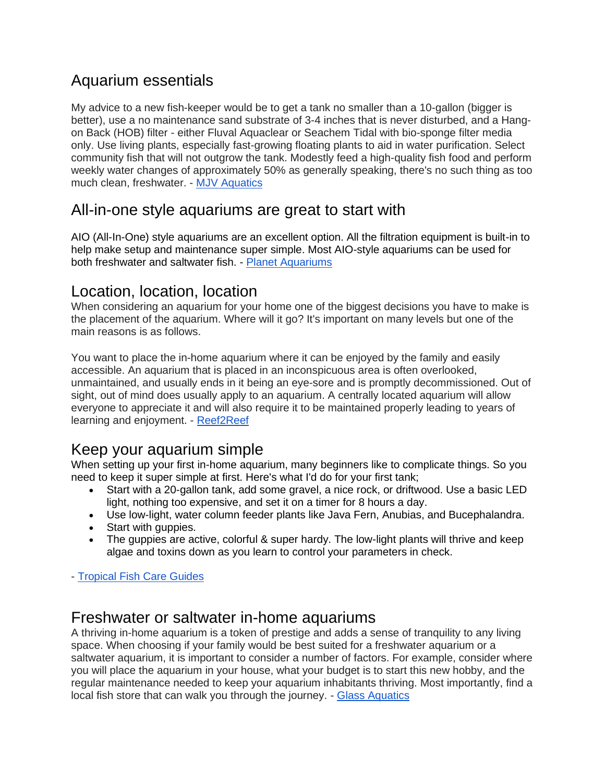# Aquarium essentials

My advice to a new fish-keeper would be to get a tank no smaller than a 10-gallon (bigger is better), use a no maintenance sand substrate of 3-4 inches that is never disturbed, and a Hangon Back (HOB) filter - either Fluval Aquaclear or Seachem Tidal with bio-sponge filter media only. Use living plants, especially fast-growing floating plants to aid in water purification. Select community fish that will not outgrow the tank. Modestly feed a high-quality fish food and perform weekly water changes of approximately 50% as generally speaking, there's no such thing as too much clean, freshwater. - [MJV Aquatics](https://mjvaquatics.com/)

#### All-in-one style aquariums are great to start with

AIO (All-In-One) style aquariums are an excellent option. All the filtration equipment is built-in to help make setup and maintenance super simple. Most AIO-style aquariums can be used for both freshwater and saltwater fish. - [Planet Aquariums](https://www.planetaquariums.com/)

#### Location, location, location

When considering an aquarium for your home one of the biggest decisions you have to make is the placement of the aquarium. Where will it go? It's important on many levels but one of the main reasons is as follows.

You want to place the in-home aquarium where it can be enjoyed by the family and easily accessible. An aquarium that is placed in an inconspicuous area is often overlooked, unmaintained, and usually ends in it being an eye-sore and is promptly decommissioned. Out of sight, out of mind does usually apply to an aquarium. A centrally located aquarium will allow everyone to appreciate it and will also require it to be maintained properly leading to years of learning and enjoyment. - [Reef2Reef](https://www.reef2reef.com/)

# Keep your aquarium simple

When setting up your first in-home aquarium, many beginners like to complicate things. So you need to keep it super simple at first. Here's what I'd do for your first tank;

- Start with a 20-gallon tank, add some gravel, a nice rock, or driftwood. Use a basic LED light, nothing too expensive, and set it on a timer for 8 hours a day.
- Use low-light, water column feeder plants like Java Fern, Anubias, and Bucephalandra.
- Start with guppies.
- The guppies are active, colorful & super hardy. The low-light plants will thrive and keep algae and toxins down as you learn to control your parameters in check.

- [Tropical Fish Care Guides](https://www.tropicalfishcareguides.com/)

#### Freshwater or saltwater in-home aquariums

A thriving in-home aquarium is a token of prestige and adds a sense of tranquility to any living space. When choosing if your family would be best suited for a freshwater aquarium or a saltwater aquarium, it is important to consider a number of factors. For example, consider where you will place the aquarium in your house, what your budget is to start this new hobby, and the regular maintenance needed to keep your aquarium inhabitants thriving. Most importantly, find a local fish store that can walk you through the journey. - [Glass Aquatics](https://www.glassaquaticsonline.com/)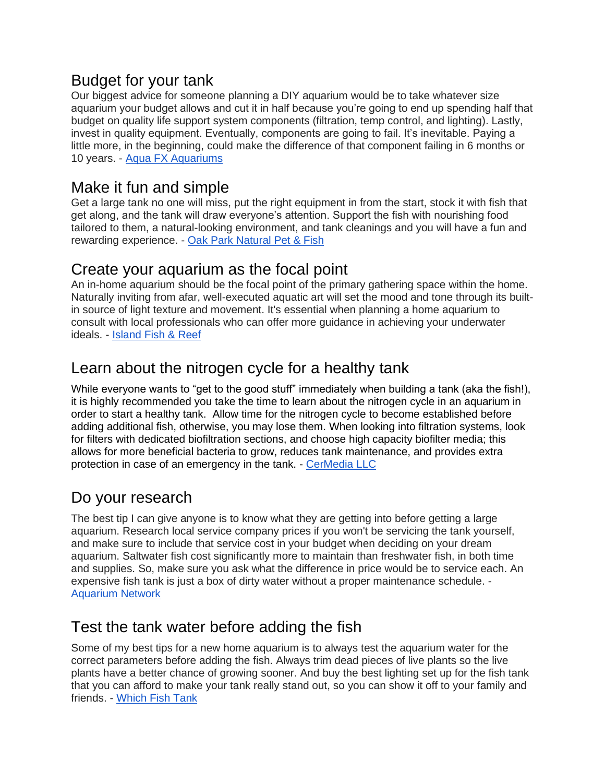## Budget for your tank

Our biggest advice for someone planning a DIY aquarium would be to take whatever size aquarium your budget allows and cut it in half because you're going to end up spending half that budget on quality life support system components (filtration, temp control, and lighting). Lastly, invest in quality equipment. Eventually, components are going to fail. It's inevitable. Paying a little more, in the beginning, could make the difference of that component failing in 6 months or 10 years. - [Aqua FX Aquariums](https://fxaquariums.com/)

## Make it fun and simple

Get a large tank no one will miss, put the right equipment in from the start, stock it with fish that get along, and the tank will draw everyone's attention. Support the fish with nourishing food tailored to them, a natural-looking environment, and tank cleanings and you will have a fun and rewarding experience. - [Oak Park Natural Pet & Fish](https://www.oakparkpet.com/)

#### Create your aquarium as the focal point

An in-home aquarium should be the focal point of the primary gathering space within the home. Naturally inviting from afar, well-executed aquatic art will set the mood and tone through its builtin source of light texture and movement. It's essential when planning a home aquarium to consult with local professionals who can offer more guidance in achieving your underwater ideals. - [Island Fish & Reef](https://www.islandfishandreef.com/)

# Learn about the nitrogen cycle for a healthy tank

While everyone wants to "get to the good stuff" immediately when building a tank (aka the fish!), it is highly recommended you take the time to learn about the nitrogen cycle in an aquarium in order to start a healthy tank. Allow time for the nitrogen cycle to become established before adding additional fish, otherwise, you may lose them. When looking into filtration systems, look for filters with dedicated biofiltration sections, and choose high capacity biofilter media; this allows for more beneficial bacteria to grow, reduces tank maintenance, and provides extra protection in case of an emergency in the tank. - [CerMedia LLC](https://www.cermedia.com/)

# Do your research

The best tip I can give anyone is to know what they are getting into before getting a large aquarium. Research local service company prices if you won't be servicing the tank yourself, and make sure to include that service cost in your budget when deciding on your dream aquarium. Saltwater fish cost significantly more to maintain than freshwater fish, in both time and supplies. So, make sure you ask what the difference in price would be to service each. An expensive fish tank is just a box of dirty water without a proper maintenance schedule. - [Aquarium Network](https://aquariumnetwork.com/)

# Test the tank water before adding the fish

Some of my best tips for a new home aquarium is to always test the aquarium water for the correct parameters before adding the fish. Always trim dead pieces of live plants so the live plants have a better chance of growing sooner. And buy the best lighting set up for the fish tank that you can afford to make your tank really stand out, so you can show it off to your family and friends. - [Which Fish Tank](https://www.whichfishtank.com/)